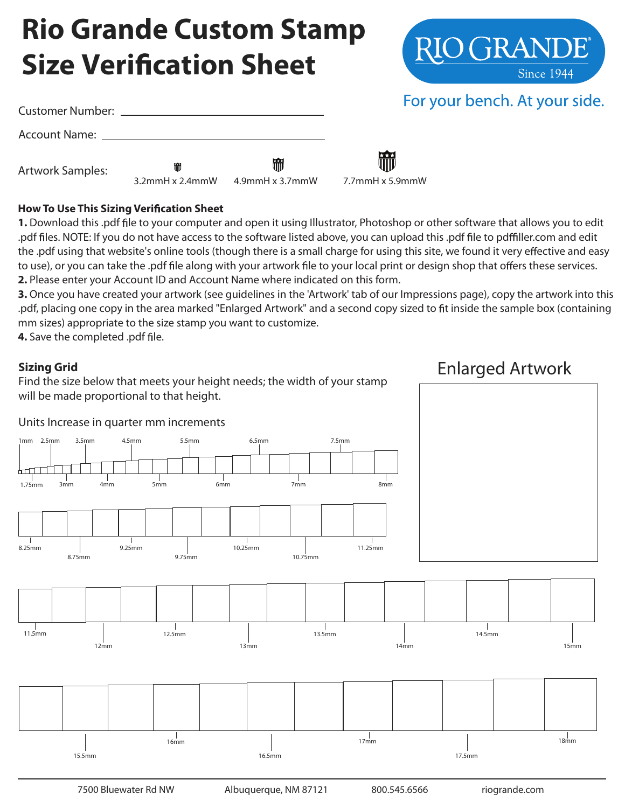# **Rio Grande Custom Stamp Size Verification Sheet**

| Customer Number: ________ |                            |                         | For                  |
|---------------------------|----------------------------|-------------------------|----------------------|
|                           |                            |                         |                      |
| <b>Artwork Samples:</b>   | 冊<br>$3.2$ mmH x $2.4$ mmW | 冊<br>$4.9$ mmH x 3.7mmW | m<br>7.7mmH x 5.9mmW |

#### **How To Use This Sizing Verification Sheet**

**1.** Download this .pdf le to your computer and open it using Illustrator, Photoshop or other software that allows you to edit .pdf files. NOTE: If you do not have access to the software listed above, you can upload this .pdf file to pdffiller.com and edit the .pdf using that website's online tools (though there is a small charge for using this site, we found it very effective and easy to use), or you can take the .pdf file along with your artwork file to your local print or design shop that offers these services. **2.** Please enter your Account ID and Account Name where indicated on this form.

**3.** Once you have created your artwork (see guidelines in the 'Artwork' tab of our Impressions page), copy the artwork into this .pdf, placing one copy in the area marked "Enlarged Artwork" and a second copy sized to fit inside the sample box (containing mm sizes) appropriate to the size stamp you want to customize.

**4.** Save the completed .pdf file.

#### **Sizing Grid**

Find the size below that meets your height needs; the width of your stamp will be made proportional to that height.

### Enlarged Artwork





### For your bench. At your side.